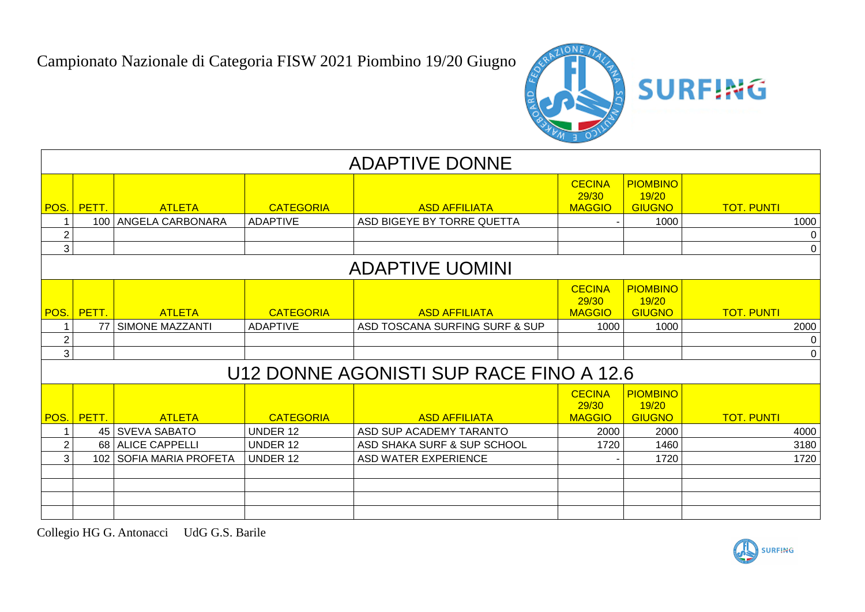Campionato Nazionale di Categoria FISW 2021 Piombino 19/20 Giugno



|                | <b>ADAPTIVE DONNE</b>  |                           |                  |                                         |                                         |                                           |                   |          |  |  |
|----------------|------------------------|---------------------------|------------------|-----------------------------------------|-----------------------------------------|-------------------------------------------|-------------------|----------|--|--|
|                | POS. PETT.             | <b>ATLETA</b>             | <b>CATEGORIA</b> | <b>ASD AFFILIATA</b>                    | <b>CECINA</b><br>29/30<br><b>MAGGIO</b> | <b>PIOMBINO</b><br>19/20<br><b>GIUGNO</b> | <b>TOT. PUNTI</b> |          |  |  |
| 1              |                        | 100   ANGELA CARBONARA    | <b>ADAPTIVE</b>  | ASD BIGEYE BY TORRE QUETTA              |                                         | 1000                                      |                   | 1000     |  |  |
| $\overline{2}$ |                        |                           |                  |                                         |                                         |                                           |                   | 0        |  |  |
| 3              |                        |                           |                  |                                         |                                         |                                           |                   | $\Omega$ |  |  |
|                | <b>ADAPTIVE UOMINI</b> |                           |                  |                                         |                                         |                                           |                   |          |  |  |
|                | POS. PETT.             | <b>ATLETA</b>             | <b>CATEGORIA</b> | <b>ASD AFFILIATA</b>                    | <b>CECINA</b><br>29/30<br><b>MAGGIO</b> | <b>PIOMBINO</b><br>19/20<br><b>GIUGNO</b> | <b>TOT. PUNTI</b> |          |  |  |
| 1              |                        | 77 SIMONE MAZZANTI        | <b>ADAPTIVE</b>  | ASD TOSCANA SURFING SURF & SUP          | 1000                                    | 1000                                      |                   | 2000     |  |  |
| $\overline{2}$ |                        |                           |                  |                                         |                                         |                                           |                   | 0        |  |  |
| 3              |                        |                           |                  |                                         |                                         |                                           |                   | $\Omega$ |  |  |
|                |                        |                           |                  | U12 DONNE AGONISTI SUP RACE FINO A 12.6 |                                         |                                           |                   |          |  |  |
|                | POS. PETT.             | <b>ATLETA</b>             | <b>CATEGORIA</b> | <b>ASD AFFILIATA</b>                    | <b>CECINA</b><br>29/30<br><b>MAGGIO</b> | <b>PIOMBINO</b><br>19/20<br><b>GIUGNO</b> | <b>TOT. PUNTI</b> |          |  |  |
| 1              |                        | 45 SVEVA SABATO           | <b>UNDER 12</b>  | ASD SUP ACADEMY TARANTO                 | 2000                                    | 2000                                      |                   | 4000     |  |  |
| $\overline{2}$ |                        | 68 ALICE CAPPELLI         | <b>UNDER 12</b>  | ASD SHAKA SURF & SUP SCHOOL             | 1720                                    | 1460                                      |                   | 3180     |  |  |
| 3              |                        | 102   SOFIA MARIA PROFETA | <b>UNDER 12</b>  | ASD WATER EXPERIENCE                    |                                         | 1720                                      |                   | 1720     |  |  |
|                |                        |                           |                  |                                         |                                         |                                           |                   |          |  |  |
|                |                        |                           |                  |                                         |                                         |                                           |                   |          |  |  |
|                |                        |                           |                  |                                         |                                         |                                           |                   |          |  |  |
|                |                        |                           |                  |                                         |                                         |                                           |                   |          |  |  |

Collegio HG G. Antonacci UdG G.S. Barile

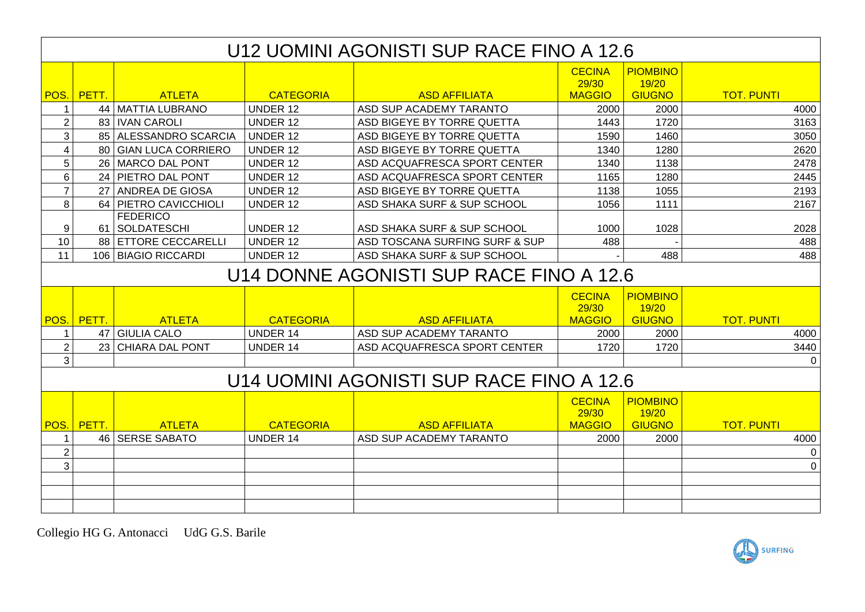|                | U12 UOMINI AGONISTI SUP RACE FINO A 12.6 |                                     |                  |                                          |                                         |                                           |                   |  |  |  |
|----------------|------------------------------------------|-------------------------------------|------------------|------------------------------------------|-----------------------------------------|-------------------------------------------|-------------------|--|--|--|
|                |                                          |                                     |                  |                                          | <b>CECINA</b><br>29/30                  | <b>PIOMBINO</b><br>19/20                  |                   |  |  |  |
|                | POS. PETT.                               | <b>ATLETA</b>                       | <b>CATEGORIA</b> | <b>ASD AFFILIATA</b>                     | <b>MAGGIO</b>                           | <b>GIUGNO</b>                             | <b>TOT. PUNTI</b> |  |  |  |
| $\mathbf{1}$   |                                          | 44   MATTIA LUBRANO                 | <b>UNDER 12</b>  | ASD SUP ACADEMY TARANTO                  | 2000                                    | 2000                                      | 4000              |  |  |  |
| $\overline{2}$ |                                          | 83   IVAN CAROLI                    | <b>UNDER 12</b>  | ASD BIGEYE BY TORRE QUETTA               | 1443                                    | 1720                                      | 3163              |  |  |  |
| 3              |                                          | 85 ALESSANDRO SCARCIA               | <b>UNDER 12</b>  | ASD BIGEYE BY TORRE QUETTA               | 1590                                    | 1460                                      | 3050              |  |  |  |
| 4              |                                          | 80 GIAN LUCA CORRIERO               | <b>UNDER 12</b>  | ASD BIGEYE BY TORRE QUETTA               | 1340                                    | 1280                                      | 2620              |  |  |  |
| 5              |                                          | 26 MARCO DAL PONT                   | <b>UNDER 12</b>  | ASD ACQUAFRESCA SPORT CENTER             | 1340                                    | 1138                                      | 2478              |  |  |  |
| 6              |                                          | 24 PIETRO DAL PONT                  | <b>UNDER 12</b>  | ASD ACQUAFRESCA SPORT CENTER             | 1165                                    | 1280                                      | 2445              |  |  |  |
| $\overline{7}$ |                                          | 27 ANDREA DE GIOSA                  | <b>UNDER 12</b>  | ASD BIGEYE BY TORRE QUETTA               | 1138                                    | 1055                                      | 2193              |  |  |  |
| 8              |                                          | 64 PIETRO CAVICCHIOLI               | <b>UNDER 12</b>  | ASD SHAKA SURF & SUP SCHOOL              | 1056                                    | 1111                                      | 2167              |  |  |  |
| 9              |                                          | <b>FEDERICO</b><br>61   SOLDATESCHI | <b>UNDER 12</b>  | ASD SHAKA SURF & SUP SCHOOL              | 1000                                    | 1028                                      | 2028              |  |  |  |
| 10             |                                          | 88 ETTORE CECCARELLI                | <b>UNDER 12</b>  | ASD TOSCANA SURFING SURF & SUP           | 488                                     |                                           | 488               |  |  |  |
| 11             |                                          | 106 BIAGIO RICCARDI                 | <b>UNDER 12</b>  | ASD SHAKA SURF & SUP SCHOOL              |                                         | 488                                       | 488               |  |  |  |
|                | U14 DONNE AGONISTI SUP RACE FINO A 12.6  |                                     |                  |                                          |                                         |                                           |                   |  |  |  |
|                |                                          |                                     |                  |                                          | <b>CECINA</b><br>29/30                  | <b>PIOMBINO</b><br>19/20                  |                   |  |  |  |
|                | POS. PETT.                               | <b>ATLETA</b>                       | <b>CATEGORIA</b> | <b>ASD AFFILIATA</b>                     | <b>MAGGIO</b>                           | <b>GIUGNO</b>                             | <b>TOT. PUNTI</b> |  |  |  |
| 1              |                                          | 47 GIULIA CALO                      | <b>UNDER 14</b>  | ASD SUP ACADEMY TARANTO                  | 2000                                    | 2000                                      | 4000              |  |  |  |
| $\overline{2}$ |                                          | 23 CHIARA DAL PONT                  | <b>UNDER 14</b>  | ASD ACQUAFRESCA SPORT CENTER             | 1720                                    | 1720                                      | 3440              |  |  |  |
| 3              |                                          |                                     |                  |                                          |                                         |                                           | $\Omega$          |  |  |  |
|                |                                          |                                     |                  | U14 UOMINI AGONISTI SUP RACE FINO A 12.6 |                                         |                                           |                   |  |  |  |
| POS.           | PETT.                                    | <b>ATLETA</b>                       | <b>CATEGORIA</b> | <b>ASD AFFILIATA</b>                     | <b>CECINA</b><br>29/30<br><b>MAGGIO</b> | <b>PIOMBINO</b><br>19/20<br><b>GIUGNO</b> | <b>TOT. PUNTI</b> |  |  |  |
| $\mathbf{1}$   |                                          | 46 SERSE SABATO                     | <b>UNDER 14</b>  | ASD SUP ACADEMY TARANTO                  | 2000                                    | 2000                                      | 4000              |  |  |  |
| $\overline{2}$ |                                          |                                     |                  |                                          |                                         |                                           | 0                 |  |  |  |
| 3              |                                          |                                     |                  |                                          |                                         |                                           | $\mathbf 0$       |  |  |  |
|                |                                          |                                     |                  |                                          |                                         |                                           |                   |  |  |  |
|                |                                          |                                     |                  |                                          |                                         |                                           |                   |  |  |  |
|                |                                          |                                     |                  |                                          |                                         |                                           |                   |  |  |  |
|                |                                          |                                     |                  |                                          |                                         |                                           |                   |  |  |  |

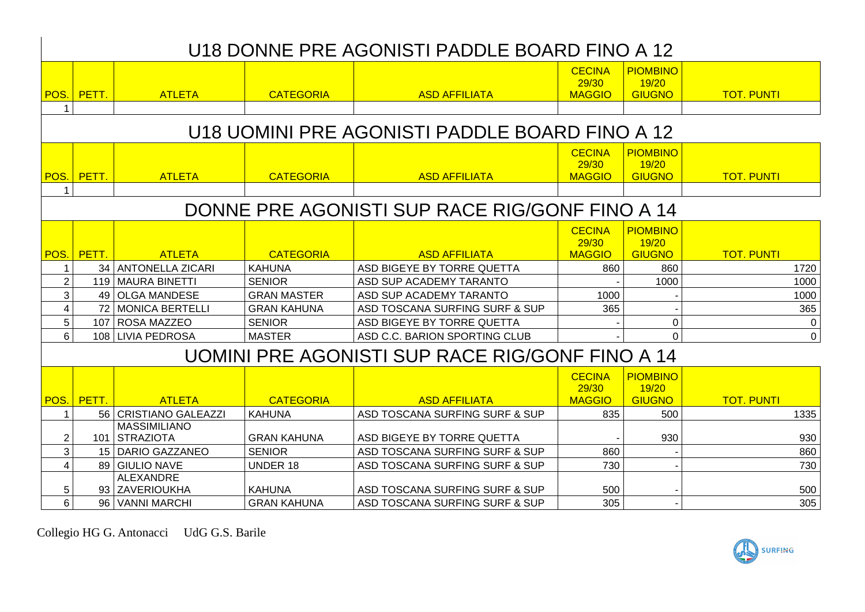## U18 DONNE PRE AGONISTI PADDLE BOARD FINO A 12

| POS. | <b>PETT</b> | <u>ATLETA</u> | <b>CATEGORIA</b> | <b>ASD AFFILIATA</b> | <b>CECINA</b><br>29/30<br><b>MAGGIO</b> | <b>PIOMBINO</b><br>19/20<br><b>GIUGNO</b> | <b>TOT. PUNTI</b> |
|------|-------------|---------------|------------------|----------------------|-----------------------------------------|-------------------------------------------|-------------------|
|      |             |               |                  |                      |                                         |                                           |                   |

## U18 UOMINI PRE AGONISTI PADDLE BOARD FINO A 12

|      |                                                |                         |                    |                                                 | <b>CECINA</b><br>29/30 | <b>PIOMBINO</b><br>19/20 |                   |  |  |  |  |
|------|------------------------------------------------|-------------------------|--------------------|-------------------------------------------------|------------------------|--------------------------|-------------------|--|--|--|--|
| POS. | PETT.                                          | <b>ATLETA</b>           | <b>CATEGORIA</b>   | <b>ASD AFFILIATA</b>                            | <b>MAGGIO</b>          | <b>GIUGNO</b>            | <b>TOT. PUNTI</b> |  |  |  |  |
|      |                                                |                         |                    |                                                 |                        |                          |                   |  |  |  |  |
|      | DONNE PRE AGONISTI SUP RACE RIG/GONF FINO A 14 |                         |                    |                                                 |                        |                          |                   |  |  |  |  |
|      |                                                |                         |                    |                                                 | <b>CECINA</b>          | <b>PIOMBINO</b>          |                   |  |  |  |  |
|      |                                                |                         |                    |                                                 | 29/30                  | 19/20                    |                   |  |  |  |  |
|      | POS. PETT.                                     | <b>ATLETA</b>           | <b>CATEGORIA</b>   | <b>ASD AFFILIATA</b>                            | <b>MAGGIO</b>          | <b>GIUGNO</b>            | <b>TOT. PUNTI</b> |  |  |  |  |
|      |                                                | 34   ANTONELLA ZICARI   | <b>KAHUNA</b>      | ASD BIGEYE BY TORRE QUETTA                      | 860                    | 860                      | 1720              |  |  |  |  |
| 2    |                                                | 119   MAURA BINETTI     | <b>SENIOR</b>      | ASD SUP ACADEMY TARANTO                         |                        | 1000                     | 1000              |  |  |  |  |
| 3    |                                                | 49   OLGA MANDESE       | <b>GRAN MASTER</b> | ASD SUP ACADEMY TARANTO                         | 1000                   |                          | 1000              |  |  |  |  |
| 4    |                                                | 72 MONICA BERTELLI      | <b>GRAN KAHUNA</b> | ASD TOSCANA SURFING SURF & SUP                  | 365                    |                          | 365               |  |  |  |  |
| 5    |                                                | 107   ROSA MAZZEO       | <b>SENIOR</b>      | ASD BIGEYE BY TORRE QUETTA                      |                        | 0                        | $\overline{0}$    |  |  |  |  |
| 6    |                                                | 108 LIVIA PEDROSA       | <b>MASTER</b>      | ASD C.C. BARION SPORTING CLUB                   |                        | $\Omega$                 | $\overline{0}$    |  |  |  |  |
|      |                                                |                         |                    | UOMINI PRE AGONISTI SUP RACE RIG/GONF FINO A 14 |                        |                          |                   |  |  |  |  |
|      |                                                |                         |                    |                                                 | <b>CECINA</b>          | <b>PIOMBINO</b>          |                   |  |  |  |  |
|      |                                                |                         |                    |                                                 | 29/30                  | 19/20                    |                   |  |  |  |  |
|      | POS. PETT.                                     | <b>ATLETA</b>           | <b>CATEGORIA</b>   | <b>ASD AFFILIATA</b>                            | <b>MAGGIO</b>          | <b>GIUGNO</b>            | <b>TOT. PUNTI</b> |  |  |  |  |
|      |                                                | 56   CRISTIANO GALEAZZI | <b>KAHUNA</b>      | ASD TOSCANA SURFING SURF & SUP                  | 835                    | 500                      | 1335              |  |  |  |  |
|      |                                                | <b>MASSIMILIANO</b>     |                    |                                                 |                        |                          |                   |  |  |  |  |
| 2    |                                                | 101   STRAZIOTA         | <b>GRAN KAHUNA</b> | ASD BIGEYE BY TORRE QUETTA                      |                        | 930                      | 930               |  |  |  |  |
| 3    |                                                | 15   DARIO GAZZANEO     | <b>SENIOR</b>      | ASD TOSCANA SURFING SURF & SUP                  | 860                    |                          | 860               |  |  |  |  |
| 4    |                                                | 89 GIULIO NAVE          | <b>UNDER 18</b>    | ASD TOSCANA SURFING SURF & SUP                  | 730                    |                          | 730               |  |  |  |  |
|      |                                                | ALEXANDRE               |                    |                                                 |                        |                          |                   |  |  |  |  |
| 5    |                                                | 93 ZAVERIOUKHA          | <b>KAHUNA</b>      | ASD TOSCANA SURFING SURF & SUP                  | 500                    |                          | 500               |  |  |  |  |
| 6    |                                                | 96   VANNI MARCHI       | <b>GRAN KAHUNA</b> | ASD TOSCANA SURFING SURF & SUP                  | 305                    |                          | 305               |  |  |  |  |

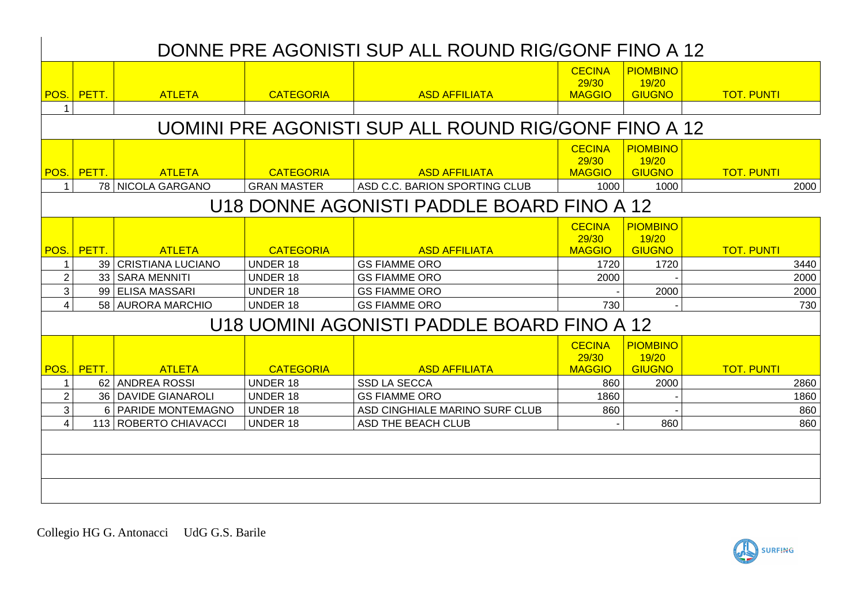## DONNE PRE AGONISTI SUP ALL ROUND RIG/GONF FINO A 12

|                               |                      |                                         |                                     |                                                      | <b>CECINA</b>                           | <b>PIOMBINO</b>                           |                   |              |
|-------------------------------|----------------------|-----------------------------------------|-------------------------------------|------------------------------------------------------|-----------------------------------------|-------------------------------------------|-------------------|--------------|
|                               | POS. PETT.           | <b>ATLETA</b>                           | <b>CATEGORIA</b>                    | <b>ASD AFFILIATA</b>                                 | 29/30<br><b>MAGGIO</b>                  | 19/20<br><b>GIUGNO</b>                    | <b>TOT. PUNTI</b> |              |
| 1                             |                      |                                         |                                     |                                                      |                                         |                                           |                   |              |
|                               |                      |                                         |                                     | UOMINI PRE AGONISTI SUP ALL ROUND RIG/GONF FINO A 12 |                                         |                                           |                   |              |
|                               | <b>POS.</b> PETT.    | <b>ATLETA</b>                           | <b>CATEGORIA</b>                    | <b>ASD AFFILIATA</b>                                 | <b>CECINA</b><br>29/30<br><b>MAGGIO</b> | <b>PIOMBINO</b><br>19/20<br><b>GIUGNO</b> | <b>TOT. PUNTI</b> |              |
|                               |                      | 78 NICOLA GARGANO                       | <b>GRAN MASTER</b>                  | ASD C.C. BARION SPORTING CLUB                        | 1000                                    | 1000                                      |                   | 2000         |
|                               |                      |                                         |                                     | U18 DONNE AGONISTI PADDLE BOARD FINO A 12            |                                         |                                           |                   |              |
|                               |                      |                                         |                                     |                                                      | <b>CECINA</b><br>29/30                  | <b>PIOMBINO</b><br>19/20                  |                   |              |
| POS.<br>$\mathbf 1$           | <b>PETT.</b>         | <b>ATLETA</b><br>39   CRISTIANA LUCIANO | <b>CATEGORIA</b><br><b>UNDER 18</b> | <b>ASD AFFILIATA</b><br><b>GS FIAMME ORO</b>         | <b>MAGGIO</b><br>1720                   | <b>GIUGNO</b><br>1720                     | <b>TOT. PUNTI</b> | 3440         |
| $\overline{2}$                |                      | 33   SARA MENNITI                       | <b>UNDER 18</b>                     | <b>GS FIAMME ORO</b>                                 | 2000                                    |                                           |                   | 2000         |
| 3                             |                      | 99 ELISA MASSARI                        | <b>UNDER 18</b>                     | <b>GS FIAMME ORO</b>                                 |                                         | 2000                                      |                   | 2000         |
| $\overline{4}$                |                      | 58 AURORA MARCHIO                       | <b>UNDER 18</b>                     | <b>GS FIAMME ORO</b>                                 | 730                                     |                                           |                   | 730          |
|                               |                      |                                         |                                     | U18 UOMINI AGONISTI PADDLE BOARD FINO A 12           |                                         |                                           |                   |              |
|                               |                      |                                         |                                     |                                                      | <b>CECINA</b><br>29/30                  | <b>PIOMBINO</b><br>19/20                  |                   |              |
| POS.                          | <mark>  PETT.</mark> | <b>ATLETA</b>                           | <b>CATEGORIA</b>                    | <b>ASD AFFILIATA</b>                                 | <b>MAGGIO</b>                           | <b>GIUGNO</b>                             | <b>TOT. PUNTI</b> |              |
| $\mathbf 1$<br>$\overline{2}$ |                      | 62 ANDREA ROSSI<br>36 DAVIDE GIANAROLI  | <b>UNDER 18</b><br><b>UNDER 18</b>  | <b>SSD LA SECCA</b><br><b>GS FIAMME ORO</b>          | 860<br>1860                             | 2000                                      |                   | 2860<br>1860 |
| 3                             |                      | 6 PARIDE MONTEMAGNO                     | <b>UNDER 18</b>                     | ASD CINGHIALE MARINO SURF CLUB                       | 860                                     |                                           |                   | 860          |
| $\overline{4}$                |                      | 113 ROBERTO CHIAVACCI                   | <b>UNDER 18</b>                     | ASD THE BEACH CLUB                                   |                                         | 860                                       |                   | 860          |
|                               |                      |                                         |                                     |                                                      |                                         |                                           |                   |              |
|                               |                      |                                         |                                     |                                                      |                                         |                                           |                   |              |
|                               |                      |                                         |                                     |                                                      |                                         |                                           |                   |              |
|                               |                      |                                         |                                     |                                                      |                                         |                                           |                   |              |

Collegio HG G. Antonacci UdG G.S. Barile

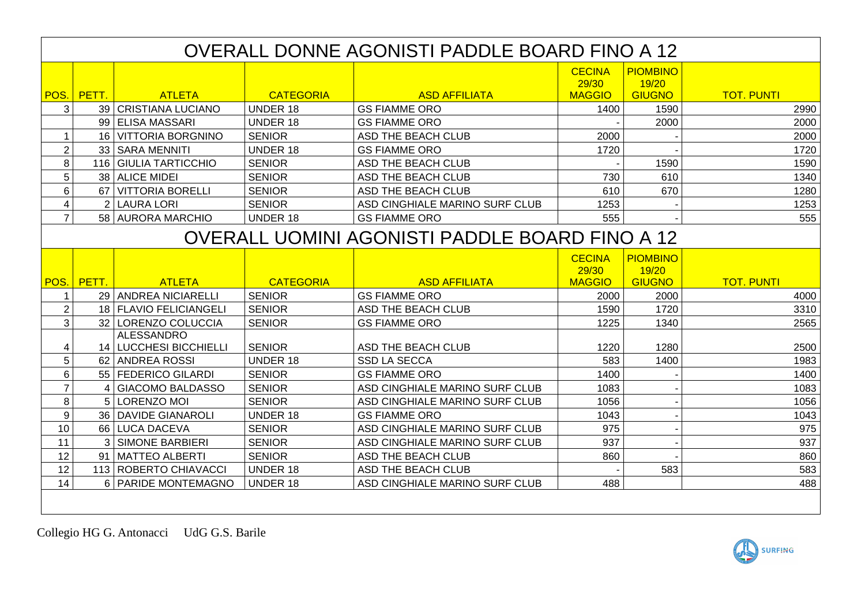|                         | OVERALL DONNE AGONISTI PADDLE BOARD FINO A 12 |                        |                  |                                                |                        |                          |                   |  |  |  |  |
|-------------------------|-----------------------------------------------|------------------------|------------------|------------------------------------------------|------------------------|--------------------------|-------------------|--|--|--|--|
|                         |                                               |                        |                  |                                                | <b>CECINA</b><br>29/30 | <b>PIOMBINO</b><br>19/20 |                   |  |  |  |  |
|                         | POS. PETT.                                    | <b>ATLETA</b>          | <b>CATEGORIA</b> | <b>ASD AFFILIATA</b>                           | <b>MAGGIO</b>          | <b>GIUGNO</b>            | <b>TOT. PUNTI</b> |  |  |  |  |
| 3                       |                                               | 39   CRISTIANA LUCIANO | <b>UNDER 18</b>  | <b>GS FIAMME ORO</b>                           | 1400                   | 1590                     | 2990              |  |  |  |  |
|                         |                                               | 99 ELISA MASSARI       | <b>UNDER 18</b>  | <b>GS FIAMME ORO</b>                           |                        | 2000                     | 2000              |  |  |  |  |
| $\mathbf{1}$            |                                               | 16 VITTORIA BORGNINO   | <b>SENIOR</b>    | ASD THE BEACH CLUB                             | 2000                   |                          | 2000              |  |  |  |  |
| $\overline{2}$          |                                               | 33   SARA MENNITI      | <b>UNDER 18</b>  | <b>GS FIAMME ORO</b>                           | 1720                   |                          | 1720              |  |  |  |  |
| 8                       |                                               | 116 GIULIA TARTICCHIO  | <b>SENIOR</b>    | ASD THE BEACH CLUB                             |                        | 1590                     | 1590              |  |  |  |  |
| 5                       |                                               | 38 ALICE MIDEI         | <b>SENIOR</b>    | ASD THE BEACH CLUB                             | 730                    | 610                      | 1340              |  |  |  |  |
| 6                       |                                               | 67 VITTORIA BORELLI    | <b>SENIOR</b>    | ASD THE BEACH CLUB                             | 610                    | 670                      | 1280              |  |  |  |  |
| $\overline{\mathbf{4}}$ |                                               | 2 LAURA LORI           | <b>SENIOR</b>    | ASD CINGHIALE MARINO SURF CLUB                 | 1253                   |                          | 1253              |  |  |  |  |
| $\overline{7}$          |                                               | 58 AURORA MARCHIO      | <b>UNDER 18</b>  | <b>GS FIAMME ORO</b>                           | 555                    |                          | 555               |  |  |  |  |
|                         |                                               |                        |                  | OVERALL UOMINI AGONISTI PADDLE BOARD FINO A 12 |                        |                          |                   |  |  |  |  |
|                         |                                               |                        |                  |                                                | <b>CECINA</b><br>29/30 | <b>PIOMBINO</b><br>19/20 |                   |  |  |  |  |
|                         | POS. PETT.                                    | <b>ATLETA</b>          | <b>CATEGORIA</b> | <b>ASD AFFILIATA</b>                           | <b>MAGGIO</b>          | <b>GIUGNO</b>            | <b>TOT. PUNTI</b> |  |  |  |  |
| 1                       |                                               | 29 ANDREA NICIARELLI   | <b>SENIOR</b>    | <b>GS FIAMME ORO</b>                           | 2000                   | 2000                     | 4000              |  |  |  |  |
| $\overline{2}$          |                                               | 18 FLAVIO FELICIANGELI | <b>SENIOR</b>    | ASD THE BEACH CLUB                             | 1590                   | 1720                     | 3310              |  |  |  |  |
| 3                       |                                               | 32 LORENZO COLUCCIA    | <b>SENIOR</b>    | <b>GS FIAMME ORO</b>                           | 1225                   | 1340                     | 2565              |  |  |  |  |
|                         |                                               | <b>ALESSANDRO</b>      |                  |                                                |                        |                          |                   |  |  |  |  |
| 4                       |                                               | 14 LUCCHESI BICCHIELLI | <b>SENIOR</b>    | ASD THE BEACH CLUB                             | 1220                   | 1280                     | 2500              |  |  |  |  |
| 5                       |                                               | 62 ANDREA ROSSI        | <b>UNDER 18</b>  | <b>SSD LA SECCA</b>                            | 583                    | 1400                     | 1983              |  |  |  |  |
| 6                       |                                               | 55   FEDERICO GILARDI  | <b>SENIOR</b>    | <b>GS FIAMME ORO</b>                           | 1400                   |                          | 1400              |  |  |  |  |
| $\overline{7}$          |                                               | 4 GIACOMO BALDASSO     | <b>SENIOR</b>    | ASD CINGHIALE MARINO SURF CLUB                 | 1083                   |                          | 1083              |  |  |  |  |
| 8                       |                                               | 5 LORENZO MOI          | <b>SENIOR</b>    | ASD CINGHIALE MARINO SURF CLUB                 | 1056                   |                          | 1056              |  |  |  |  |
| 9                       |                                               | 36   DAVIDE GIANAROLI  | <b>UNDER 18</b>  | <b>GS FIAMME ORO</b>                           | 1043                   |                          | 1043              |  |  |  |  |
| 10                      |                                               | 66 LUCA DACEVA         | <b>SENIOR</b>    | ASD CINGHIALE MARINO SURF CLUB                 | 975                    |                          | 975               |  |  |  |  |
| 11                      |                                               | 3 SIMONE BARBIERI      | <b>SENIOR</b>    | ASD CINGHIALE MARINO SURF CLUB                 | 937                    |                          | 937               |  |  |  |  |
| 12                      |                                               | 91   MATTEO ALBERTI    | <b>SENIOR</b>    | ASD THE BEACH CLUB                             | 860                    |                          | 860               |  |  |  |  |
| 12                      |                                               | 113 ROBERTO CHIAVACCI  | <b>UNDER 18</b>  | ASD THE BEACH CLUB                             |                        | 583                      | 583               |  |  |  |  |
| 14                      |                                               | 6 PARIDE MONTEMAGNO    | <b>UNDER 18</b>  | ASD CINGHIALE MARINO SURF CLUB                 | 488                    |                          | 488               |  |  |  |  |
|                         |                                               |                        |                  |                                                |                        |                          |                   |  |  |  |  |

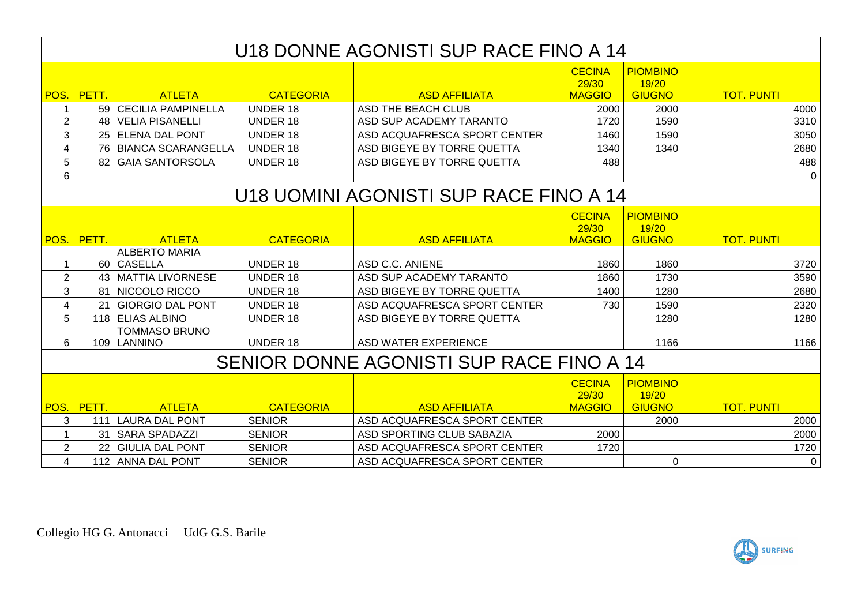|                | U18 DONNE AGONISTI SUP RACE FINO A 14    |                        |                  |                                        |                        |                          |                   |  |  |  |
|----------------|------------------------------------------|------------------------|------------------|----------------------------------------|------------------------|--------------------------|-------------------|--|--|--|
|                |                                          |                        |                  |                                        | <b>CECINA</b><br>29/30 | <b>PIOMBINO</b><br>19/20 |                   |  |  |  |
|                | POS. PETT.                               | <b>ATLETA</b>          | <b>CATEGORIA</b> | <b>ASD AFFILIATA</b>                   | <b>MAGGIO</b>          | <b>GIUGNO</b>            | <b>TOT. PUNTI</b> |  |  |  |
|                |                                          | 59 CECILIA PAMPINELLA  | <b>UNDER 18</b>  | <b>ASD THE BEACH CLUB</b>              | 2000                   | 2000                     | 4000              |  |  |  |
| $\overline{2}$ |                                          | 48   VELIA PISANELLI   | <b>UNDER 18</b>  | ASD SUP ACADEMY TARANTO                | 1720                   | 1590                     | 3310              |  |  |  |
| 3              |                                          | 25 ELENA DAL PONT      | <b>UNDER 18</b>  | ASD ACQUAFRESCA SPORT CENTER           | 1460                   | 1590                     | 3050              |  |  |  |
| 4              |                                          | 76 BIANCA SCARANGELLA  | <b>UNDER 18</b>  | ASD BIGEYE BY TORRE QUETTA             | 1340                   | 1340                     | 2680              |  |  |  |
| 5              | 82                                       | <b>GAIA SANTORSOLA</b> | <b>UNDER 18</b>  | ASD BIGEYE BY TORRE QUETTA             | 488                    |                          | 488               |  |  |  |
| 6              |                                          |                        |                  |                                        |                        |                          | $\Omega$          |  |  |  |
|                |                                          |                        |                  | U18 UOMINI AGONISTI SUP RACE FINO A 14 |                        |                          |                   |  |  |  |
|                |                                          |                        |                  |                                        | <b>CECINA</b>          | <b>PIOMBINO</b>          |                   |  |  |  |
|                |                                          |                        |                  |                                        | 29/30                  | 19/20                    |                   |  |  |  |
|                | POS. PETT.                               | <b>ATLETA</b>          | <b>CATEGORIA</b> | <b>ASD AFFILIATA</b>                   | <b>MAGGIO</b>          | <b>GIUGNO</b>            | <b>TOT. PUNTI</b> |  |  |  |
|                |                                          | <b>ALBERTO MARIA</b>   |                  |                                        |                        |                          |                   |  |  |  |
|                |                                          | 60 CASELLA             | <b>UNDER 18</b>  | ASD C.C. ANIENE                        | 1860                   | 1860                     | 3720              |  |  |  |
| $\overline{2}$ |                                          | 43   MATTIA LIVORNESE  | <b>UNDER 18</b>  | ASD SUP ACADEMY TARANTO                | 1860                   | 1730                     | 3590              |  |  |  |
| 3              | 81                                       | NICCOLO RICCO          | <b>UNDER 18</b>  | ASD BIGEYE BY TORRE QUETTA             | 1400                   | 1280                     | 2680              |  |  |  |
| 4              |                                          | 21 GIORGIO DAL PONT    | <b>UNDER 18</b>  | ASD ACQUAFRESCA SPORT CENTER           | 730                    | 1590                     | 2320              |  |  |  |
| 5              |                                          | 118 ELIAS ALBINO       | <b>UNDER 18</b>  | ASD BIGEYE BY TORRE QUETTA             |                        | 1280                     | 1280              |  |  |  |
|                |                                          | <b>TOMMASO BRUNO</b>   |                  |                                        |                        |                          |                   |  |  |  |
| 6              |                                          | 109   LANNINO          | <b>UNDER 18</b>  | <b>ASD WATER EXPERIENCE</b>            |                        | 1166                     | 1166              |  |  |  |
|                | SENIOR DONNE AGONISTI SUP RACE FINO A 14 |                        |                  |                                        |                        |                          |                   |  |  |  |
|                |                                          |                        |                  |                                        | <b>CECINA</b><br>29/30 | <b>PIOMBINO</b><br>19/20 |                   |  |  |  |
|                | POS. PETT.                               | <b>ATLETA</b>          | <b>CATEGORIA</b> | <b>ASD AFFILIATA</b>                   | <b>MAGGIO</b>          | <b>GIUGNO</b>            | <b>TOT. PUNTI</b> |  |  |  |
| 3              |                                          | 111 LAURA DAL PONT     | <b>SENIOR</b>    | ASD ACQUAFRESCA SPORT CENTER           |                        | 2000                     | 2000              |  |  |  |
|                | 31 <sup>1</sup>                          | <b>SARA SPADAZZI</b>   | <b>SENIOR</b>    | ASD SPORTING CLUB SABAZIA              | 2000                   |                          | 2000              |  |  |  |
| $\overline{2}$ | 22                                       | <b>GIULIA DAL PONT</b> | <b>SENIOR</b>    | ASD ACQUAFRESCA SPORT CENTER           | 1720                   |                          | 1720              |  |  |  |
| 4              |                                          | 112 ANNA DAL PONT      | <b>SENIOR</b>    | ASD ACQUAFRESCA SPORT CENTER           |                        | $\Omega$                 | $\overline{0}$    |  |  |  |

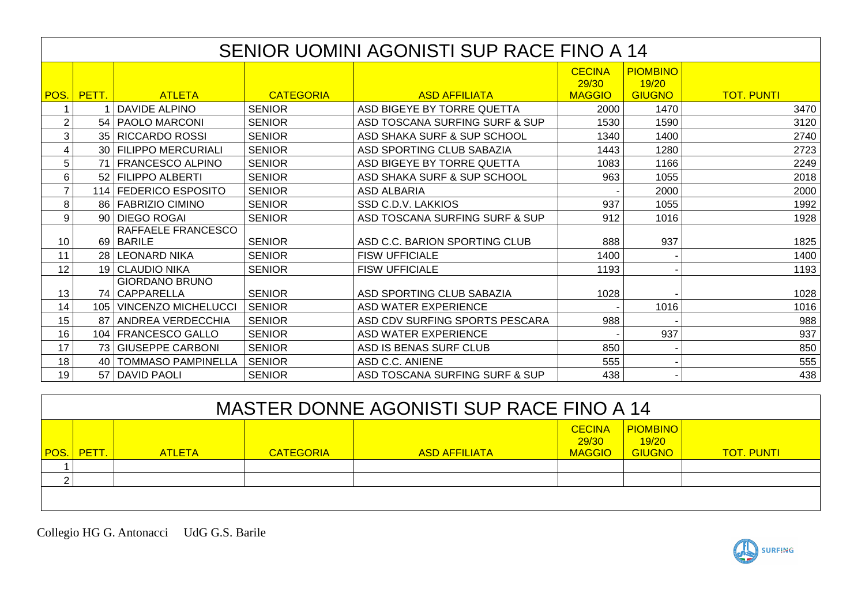|                | SENIOR UOMINI AGONISTI SUP RACE FINO A 14 |                                        |                  |                                |                                         |                                           |                   |  |  |  |  |
|----------------|-------------------------------------------|----------------------------------------|------------------|--------------------------------|-----------------------------------------|-------------------------------------------|-------------------|--|--|--|--|
| POS.           | PETT.                                     | <b>ATLETA</b>                          | <b>CATEGORIA</b> | <b>ASD AFFILIATA</b>           | <b>CECINA</b><br>29/30<br><b>MAGGIO</b> | <b>PIOMBINO</b><br>19/20<br><b>GIUGNO</b> | <b>TOT. PUNTI</b> |  |  |  |  |
|                |                                           | <b>DAVIDE ALPINO</b>                   | <b>SENIOR</b>    | ASD BIGEYE BY TORRE QUETTA     | 2000                                    | 1470                                      | 3470              |  |  |  |  |
| $\overline{2}$ |                                           | 54   PAOLO MARCONI                     | <b>SENIOR</b>    | ASD TOSCANA SURFING SURF & SUP | 1530                                    | 1590                                      | 3120              |  |  |  |  |
| 3              |                                           | 35   RICCARDO ROSSI                    | <b>SENIOR</b>    | ASD SHAKA SURF & SUP SCHOOL    | 1340                                    | 1400                                      | 2740              |  |  |  |  |
| 4              |                                           | 30 FILIPPO MERCURIALI                  | <b>SENIOR</b>    | ASD SPORTING CLUB SABAZIA      | 1443                                    | 1280                                      | 2723              |  |  |  |  |
| 5              |                                           | 71   FRANCESCO ALPINO                  | <b>SENIOR</b>    | ASD BIGEYE BY TORRE QUETTA     | 1083                                    | 1166                                      | 2249              |  |  |  |  |
| 6              |                                           | 52 FILIPPO ALBERTI                     | <b>SENIOR</b>    | ASD SHAKA SURF & SUP SCHOOL    | 963                                     | 1055                                      | 2018              |  |  |  |  |
| 7              |                                           | 114 FEDERICO ESPOSITO                  | <b>SENIOR</b>    | <b>ASD ALBARIA</b>             |                                         | 2000                                      | 2000              |  |  |  |  |
| 8              |                                           | 86   FABRIZIO CIMINO                   | <b>SENIOR</b>    | SSD C.D.V. LAKKIOS             | 937                                     | 1055                                      | 1992              |  |  |  |  |
| 9              |                                           | 90 DIEGO ROGAI                         | <b>SENIOR</b>    | ASD TOSCANA SURFING SURF & SUP | 912                                     | 1016                                      | 1928              |  |  |  |  |
| 10             |                                           | RAFFAELE FRANCESCO<br>69 BARILE        | <b>SENIOR</b>    | ASD C.C. BARION SPORTING CLUB  | 888                                     | 937                                       | 1825              |  |  |  |  |
| 11             |                                           | 28   LEONARD NIKA                      | <b>SENIOR</b>    | <b>FISW UFFICIALE</b>          | 1400                                    |                                           | 1400              |  |  |  |  |
| 12             |                                           | 19 CLAUDIO NIKA                        | <b>SENIOR</b>    | <b>FISW UFFICIALE</b>          | 1193                                    |                                           | 1193              |  |  |  |  |
| 13             |                                           | <b>GIORDANO BRUNO</b><br>74 CAPPARELLA | <b>SENIOR</b>    | ASD SPORTING CLUB SABAZIA      | 1028                                    |                                           | 1028              |  |  |  |  |
| 14             | 105                                       | <b>VINCENZO MICHELUCCI</b>             | <b>SENIOR</b>    | ASD WATER EXPERIENCE           |                                         | 1016                                      | 1016              |  |  |  |  |
| 15             | 87                                        | ANDREA VERDECCHIA                      | <b>SENIOR</b>    | ASD CDV SURFING SPORTS PESCARA | 988                                     |                                           | 988               |  |  |  |  |
| 16             |                                           | 104   FRANCESCO GALLO                  | <b>SENIOR</b>    | <b>ASD WATER EXPERIENCE</b>    |                                         | 937                                       | 937               |  |  |  |  |
| 17             |                                           | 73 GIUSEPPE CARBONI                    | <b>SENIOR</b>    | ASD IS BENAS SURF CLUB         | 850                                     |                                           | 850               |  |  |  |  |
| 18             | 40 l                                      | <b>TOMMASO PAMPINELLA</b>              | <b>SENIOR</b>    | ASD C.C. ANIENE                | 555                                     |                                           | 555               |  |  |  |  |
| 19             |                                           | 57   DAVID PAOLI                       | <b>SENIOR</b>    | ASD TOSCANA SURFING SURF & SUP | 438                                     |                                           | 438               |  |  |  |  |

| MASTER DONNE AGONISTI SUP RACE FINO A 14 |       |               |                  |                      |                                         |                                           |                   |  |  |  |
|------------------------------------------|-------|---------------|------------------|----------------------|-----------------------------------------|-------------------------------------------|-------------------|--|--|--|
| POS.                                     | PETT. | <b>ATLETA</b> | <b>CATEGORIA</b> | <b>ASD AFFILIATA</b> | <b>CECINA</b><br>29/30<br><b>MAGGIO</b> | <b>PIOMBINO</b><br>19/20<br><b>GIUGNO</b> | <b>TOT. PUNTI</b> |  |  |  |
|                                          |       |               |                  |                      |                                         |                                           |                   |  |  |  |
| ⌒                                        |       |               |                  |                      |                                         |                                           |                   |  |  |  |
|                                          |       |               |                  |                      |                                         |                                           |                   |  |  |  |

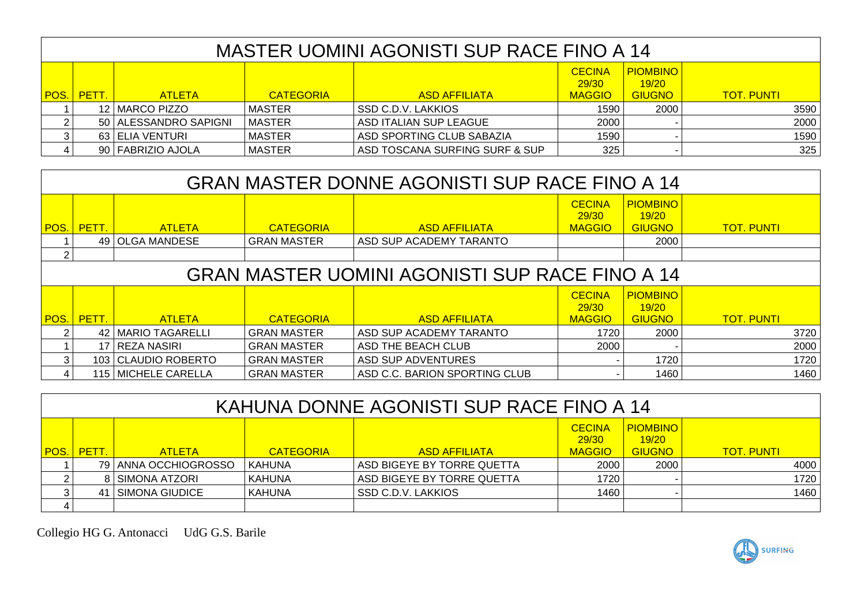|             | MASTER UOMINI AGONISTI SUP RACE FINO A 14 |                       |                  |                                |                                         |                                           |                   |  |  |  |
|-------------|-------------------------------------------|-----------------------|------------------|--------------------------------|-----------------------------------------|-------------------------------------------|-------------------|--|--|--|
| <b>POS.</b> | PETT.                                     | <b>ATLETA</b>         | <b>CATEGORIA</b> | <b>ASD AFFILIATA</b>           | <b>CECINA</b><br>29/30<br><b>MAGGIO</b> | <b>PIOMBINO</b><br>19/20<br><b>GIUGNO</b> | <b>TOT. PUNTI</b> |  |  |  |
|             |                                           | 12   MARCO PIZZO      | MASTER           | <b>SSD C.D.V. LAKKIOS</b>      | 1590                                    | 2000                                      | 3590              |  |  |  |
|             |                                           | 50 ALESSANDRO SAPIGNI | MASTER           | ASD ITALIAN SUP LEAGUE         | 2000                                    |                                           | 2000              |  |  |  |
|             |                                           | 63 ELIA VENTURI       | <b>MASTER</b>    | ASD SPORTING CLUB SABAZIA      | 1590                                    |                                           | 1590              |  |  |  |
|             |                                           | 90   FABRIZIO AJOLA   | <b>MASTER</b>    | ASD TOSCANA SURFING SURF & SUP | 325                                     |                                           | 325               |  |  |  |

|      | <b>GRAN MASTER DONNE AGONISTI SUP RACE FINO A 14</b>                                                                                                                            |                       |                    |                               |                                         |                                           |                   |  |  |  |
|------|---------------------------------------------------------------------------------------------------------------------------------------------------------------------------------|-----------------------|--------------------|-------------------------------|-----------------------------------------|-------------------------------------------|-------------------|--|--|--|
| POS. | PETT.                                                                                                                                                                           | <b>ATLETA</b>         | <b>CATEGORIA</b>   | <b>ASD AFFILIATA</b>          | <b>CECINA</b><br>29/30<br><b>MAGGIO</b> | <b>PIOMBINO</b><br>19/20<br><b>GIUGNO</b> | <b>TOT. PUNTI</b> |  |  |  |
|      |                                                                                                                                                                                 | 49 OLGA MANDESE       | <b>GRAN MASTER</b> | ASD SUP ACADEMY TARANTO       |                                         | 2000                                      |                   |  |  |  |
| 2    |                                                                                                                                                                                 |                       |                    |                               |                                         |                                           |                   |  |  |  |
|      | <b>GRAN MASTER UOMINI AGONISTI SUP RACE FINO A 14</b>                                                                                                                           |                       |                    |                               |                                         |                                           |                   |  |  |  |
| POS. | <b>CECINA</b><br><b>PIOMBINO</b><br>29/30<br>19/20<br>PETT.<br><b>CATEGORIA</b><br><b>ASD AFFILIATA</b><br><b>GIUGNO</b><br><b>TOT. PUNTI</b><br><b>MAGGIO</b><br><b>ATLETA</b> |                       |                    |                               |                                         |                                           |                   |  |  |  |
|      | 42 I                                                                                                                                                                            | MARIO TAGARELLI       | <b>GRAN MASTER</b> | ASD SUP ACADEMY TARANTO       | 1720                                    | 2000                                      | 3720              |  |  |  |
|      |                                                                                                                                                                                 | 17 REZA NASIRI        | <b>GRAN MASTER</b> | ASD THE BEACH CLUB            | 2000                                    |                                           | 2000              |  |  |  |
| 3    |                                                                                                                                                                                 | 103 CLAUDIO ROBERTO   | <b>GRAN MASTER</b> | ASD SUP ADVENTURES            |                                         | 1720                                      | 1720              |  |  |  |
| 4    |                                                                                                                                                                                 | 115   MICHELE CARELLA | <b>GRAN MASTER</b> | ASD C.C. BARION SPORTING CLUB |                                         | 1460                                      | 1460              |  |  |  |

|             | KAHUNA DONNE AGONISTI SUP RACE FINO A 14 |                        |                  |                            |                                         |                                           |                   |  |  |  |
|-------------|------------------------------------------|------------------------|------------------|----------------------------|-----------------------------------------|-------------------------------------------|-------------------|--|--|--|
| <b>POS.</b> | <b>PETT.</b>                             | <b>ATLETA</b>          | <b>CATEGORIA</b> | <b>ASD AFFILIATA</b>       | <b>CECINA</b><br>29/30<br><b>MAGGIO</b> | <b>PIOMBINO</b><br>19/20<br><b>GIUGNO</b> | <b>TOT. PUNTI</b> |  |  |  |
|             |                                          | 79   ANNA OCCHIOGROSSO | <b>KAHUNA</b>    | ASD BIGEYE BY TORRE QUETTA | 2000                                    | 2000                                      | 4000              |  |  |  |
|             |                                          | 8 SIMONA ATZORI        | KAHUNA           | ASD BIGEYE BY TORRE QUETTA | 1720                                    |                                           | 1720              |  |  |  |
| ີ           |                                          | 41   SIMONA GIUDICE    | KAHUNA           | <b>SSD C.D.V. LAKKIOS</b>  | 1460                                    |                                           | 1460              |  |  |  |
|             |                                          |                        |                  |                            |                                         |                                           |                   |  |  |  |

Collegio HG G. Antonacci UdG G.S. Barile